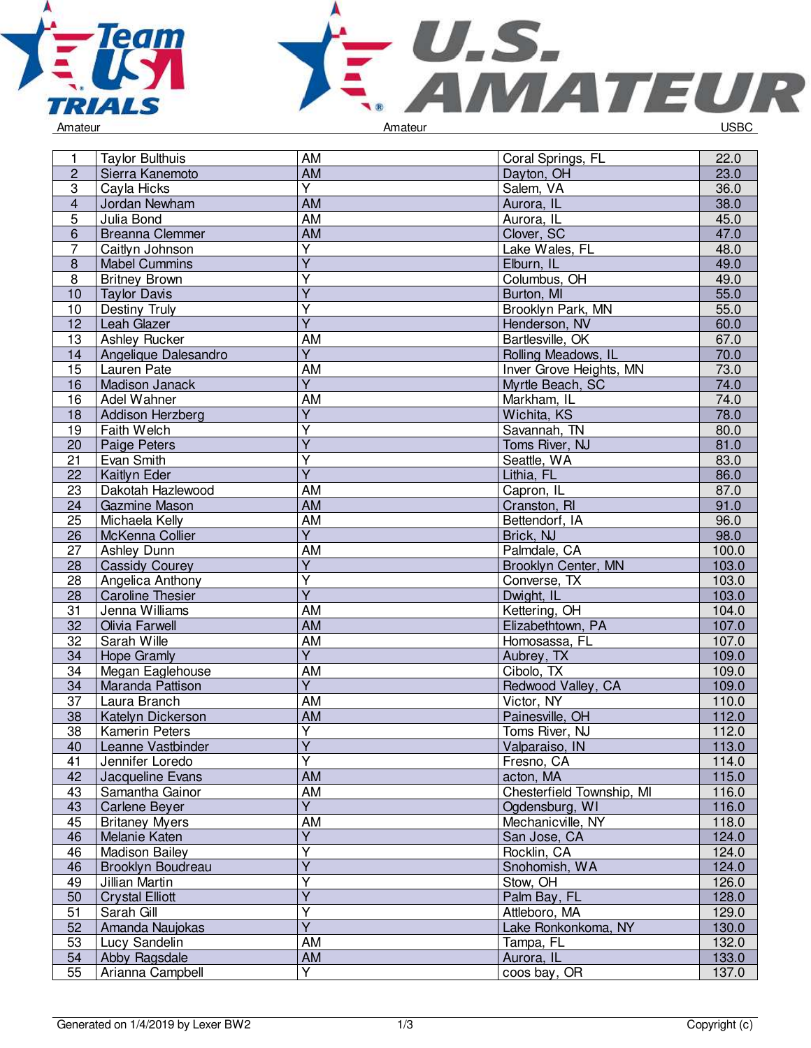



| 1               | <b>Taylor Bulthuis</b>                    | <b>AM</b>               | Coral Springs, FL         | 22.0           |
|-----------------|-------------------------------------------|-------------------------|---------------------------|----------------|
| $\overline{2}$  | Sierra Kanemoto                           | <b>AM</b>               | Dayton, OH                | 23.0           |
| $\overline{3}$  | Cayla Hicks                               | $\overline{Y}$          | Salem, VA                 | 36.0           |
| $\overline{4}$  | Jordan Newham                             | <b>AM</b>               | Aurora, IL                | 38.0           |
| 5               | Julia Bond                                | AM                      | Aurora, IL                | 45.0           |
| 6               | <b>Breanna Clemmer</b>                    | AM                      | Clover, SC                | 47.0           |
| 7               | Caitlyn Johnson                           | Y                       | Lake Wales, FL            | 48.0           |
| $\bf 8$         | <b>Mabel Cummins</b>                      | $\overline{Y}$          | Elburn, IL                | 49.0           |
| 8               | <b>Britney Brown</b>                      | Υ                       | Columbus, OH              | 49.0           |
| 10              | <b>Taylor Davis</b>                       | $\overline{\mathsf{Y}}$ | Burton, MI                | 55.0           |
| 10              | Destiny Truly                             | Y                       | Brooklyn Park, MN         | 55.0           |
| 12              | Leah Glazer                               | $\overline{\mathsf{Y}}$ | Henderson, NV             | 60.0           |
| 13              | Ashley Rucker                             | <b>AM</b>               | Bartlesville, OK          | 67.0           |
| 14              | Angelique Dalesandro                      | $\overline{Y}$          | Rolling Meadows, IL       | 70.0           |
| 15              | Lauren Pate                               | AM                      | Inver Grove Heights, MN   | 73.0           |
| 16              | Madison Janack                            | $\overline{Y}$          | Myrtle Beach, SC          | 74.0           |
| 16              | Adel Wahner                               | AM                      | Markham, IL               | 74.0           |
| 18              | Addison Herzberg                          | Υ                       | Wichita, KS               | 78.0           |
| 19              | Faith Welch                               | Υ                       | Savannah, TN              | 80.0           |
| 20              | Paige Peters                              | $\overline{Y}$          | Toms River, NJ            | 81.0           |
| 21              | Evan Smith                                | Υ                       | Seattle, WA               | 83.0           |
| $\overline{22}$ | Kaitlyn Eder                              | $\overline{\mathsf{Y}}$ | Lithia, FL                | 86.0           |
| 23              | Dakotah Hazlewood                         | <b>AM</b>               | Capron, IL                | 87.0           |
| 24              | Gazmine Mason                             | <b>AM</b>               | Cranston, RI              | 91.0           |
| 25              | Michaela Kelly                            | <b>AM</b>               | Bettendorf, IA            | 96.0           |
|                 |                                           | $\overline{Y}$          |                           | 98.0           |
| 26              | McKenna Collier                           |                         | Brick, NJ                 |                |
| 27              | Ashley Dunn                               | AM<br>$\overline{Y}$    | Palmdale, CA              | 100.0<br>103.0 |
| 28              | <b>Cassidy Courey</b>                     |                         | Brooklyn Center, MN       |                |
| 28              | Angelica Anthony                          | Υ<br>$\overline{Y}$     | Converse, TX              | 103.0          |
| 28<br>31        | <b>Caroline Thesier</b><br>Jenna Williams | AM                      | Dwight, IL                | 103.0          |
|                 |                                           | <b>AM</b>               | Kettering, OH             | 104.0          |
| 32<br>32        | Olivia Farwell<br>Sarah Wille             | $\overline{AM}$         | Elizabethtown, PA         | 107.0          |
|                 |                                           | $\overline{Y}$          | Homosassa, FL             | 107.0          |
| 34              | <b>Hope Gramly</b>                        |                         | Aubrey, TX                | 109.0          |
| 34              | Megan Eaglehouse                          | AM<br>$\overline{Y}$    | Cibolo, TX                | 109.0          |
| 34              | Maranda Pattison                          |                         | Redwood Valley, CA        | 109.0          |
| 37              | Laura Branch                              | AM                      | Victor, NY                | 110.0          |
| 38              | Katelyn Dickerson                         | AM                      | Painesville, OH           | 112.0          |
| 38              | <b>Kamerin Peters</b>                     | Υ                       | Toms River, NJ            | 112.0          |
| 40              | Leanne Vastbinder                         | $\overline{Y}$          | Valparaiso, IN            | 113.0          |
| 41              | Jennifer Loredo                           | $\overline{\mathsf{Y}}$ | Fresno, CA                | 114.0          |
| 42              | Jacqueline Evans                          | <b>AM</b>               | acton, MA                 | 115.0          |
| 43              | Samantha Gainor                           | AM                      | Chesterfield Township, MI | 116.0          |
| 43              | Carlene Beyer                             | $\overline{Y}$          | Ogdensburg, WI            | 116.0          |
| 45              | <b>Britaney Myers</b>                     | AM                      | Mechanicville, NY         | 118.0          |
| 46              | Melanie Katen                             | $\overline{Y}$          | San Jose, CA              | 124.0          |
| 46              | <b>Madison Bailey</b>                     | Υ                       | Rocklin, CA               | 124.0          |
| 46              | Brooklyn Boudreau                         | Y                       | Snohomish, WA             | 124.0          |
| 49              | Jillian Martin                            | Y                       | Stow, OH                  | 126.0          |
| 50              | <b>Crystal Elliott</b>                    | $\overline{Y}$          | Palm Bay, FL              | 128.0          |
| 51              | Sarah Gill                                | Υ                       | Attleboro, MA             | 129.0          |
| 52              | Amanda Naujokas                           | $\overline{\mathsf{Y}}$ | Lake Ronkonkoma, NY       | 130.0          |
| 53              | Lucy Sandelin                             | AM                      | Tampa, FL                 | 132.0          |
| 54              | Abby Ragsdale                             | AM                      | Aurora, IL                | 133.0          |
| 55              | Arianna Campbell                          | Y                       | coos bay, OR              | 137.0          |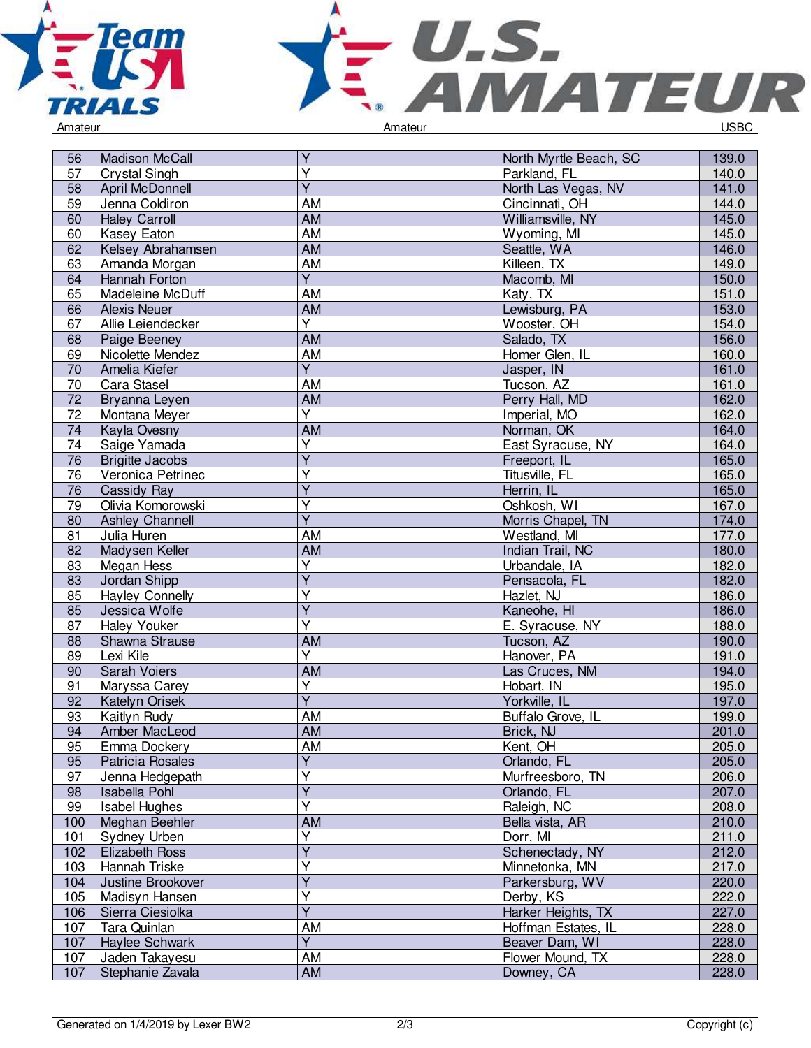



| 56  | <b>Madison McCall</b>  | Y                       | North Myrtle Beach, SC | 139.0 |
|-----|------------------------|-------------------------|------------------------|-------|
| 57  | <b>Crystal Singh</b>   | $\overline{Y}$          | Parkland, FL           | 140.0 |
| 58  | April McDonnell        | Ÿ                       | North Las Vegas, NV    | 141.0 |
| 59  | Jenna Coldiron         | AM                      | Cincinnati, OH         | 144.0 |
| 60  | <b>Haley Carroll</b>   | AM                      | Williamsville, NY      | 145.0 |
| 60  | Kasey Eaton            | AM                      | Wyoming, MI            | 145.0 |
| 62  | Kelsey Abrahamsen      | AM                      | Seattle, WA            | 146.0 |
| 63  | Amanda Morgan          | <b>AM</b>               | Killeen, TX            | 149.0 |
| 64  | Hannah Forton          | $\overline{\mathsf{Y}}$ | Macomb, MI             | 150.0 |
| 65  | Madeleine McDuff       | AM                      | Katy, TX               | 151.0 |
| 66  | <b>Alexis Neuer</b>    | AM                      | Lewisburg, PA          | 153.0 |
| 67  | Allie Leiendecker      | $\overline{Y}$          | Wooster, OH            | 154.0 |
| 68  | Paige Beeney           | AM                      | Salado, TX             | 156.0 |
| 69  | Nicolette Mendez       | AM                      | Homer Glen, IL         | 160.0 |
| 70  | Amelia Kiefer          | $\overline{Y}$          | Jasper, IN             | 161.0 |
| 70  | Cara Stasel            | AM                      | Tucson, AZ             | 161.0 |
| 72  | Bryanna Leyen          | AM                      | Perry Hall, MD         | 162.0 |
| 72  | Montana Meyer          | Ÿ                       | Imperial, MO           | 162.0 |
| 74  | Kayla Ovesny           | AM                      | Norman, OK             | 164.0 |
| 74  | Saige Yamada           | $\overline{\mathsf{Y}}$ | East Syracuse, NY      | 164.0 |
| 76  | <b>Brigitte Jacobs</b> | $\overline{Y}$          | Freeport, IL           | 165.0 |
| 76  | Veronica Petrinec      | Υ                       | Titusville, FL         | 165.0 |
| 76  | Cassidy Ray            | Y                       | Herrin, IL             | 165.0 |
| 79  | Olivia Komorowski      | Y                       | Oshkosh, WI            | 167.0 |
| 80  | <b>Ashley Channell</b> | $\overline{Y}$          | Morris Chapel, TN      | 174.0 |
| 81  | Julia Huren            | AM                      | Westland, MI           | 177.0 |
| 82  | Madysen Keller         | AM                      | Indian Trail, NC       | 180.0 |
| 83  | Megan Hess             | Υ                       | Urbandale, IA          | 182.0 |
| 83  | Jordan Shipp           | Ÿ                       | Pensacola, FL          | 182.0 |
| 85  | <b>Hayley Connelly</b> | $\overline{Y}$          | Hazlet, NJ             | 186.0 |
| 85  | Jessica Wolfe          | $\overline{\mathsf{Y}}$ | Kaneohe, HI            | 186.0 |
| 87  | <b>Haley Youker</b>    | Ÿ                       | E. Syracuse, NY        | 188.0 |
| 88  | Shawna Strause         | AM                      | Tucson, AZ             | 190.0 |
| 89  | Lexi Kile              | Y                       | Hanover, PA            | 191.0 |
| 90  | Sarah Voiers           | AM                      | Las Cruces, NM         | 194.0 |
| 91  | Maryssa Carey          | $\overline{\mathsf{Y}}$ | Hobart, IN             | 195.0 |
| 92  | <b>Katelyn Orisek</b>  | $\overline{Y}$          | Yorkville, IL          | 197.0 |
| 93  | Kaitlyn Rudy           | $\overline{AM}$         | Buffalo Grove, IL      | 199.0 |
| 94  | Amber MacLeod          | AM                      | Brick, NJ              | 201.0 |
| 95  | Emma Dockery           | <b>AM</b>               | Kent, OH               | 205.0 |
| 95  | Patricia Rosales       | $\overline{Y}$          | Orlando, FL            | 205.0 |
| 97  | Jenna Hedgepath        | Ÿ                       | Murfreesboro, TN       | 206.0 |
| 98  | <b>Isabella Pohl</b>   | Ÿ                       | Orlando, FL            | 207.0 |
| 99  | <b>Isabel Hughes</b>   | Υ                       | Raleigh, NC            | 208.0 |
| 100 | Meghan Beehler         | AM                      | Bella vista, AR        | 210.0 |
| 101 | Sydney Urben           | Υ                       | Dorr, MI               | 211.0 |
| 102 | <b>Elizabeth Ross</b>  | $\overline{\mathsf{Y}}$ | Schenectady, NY        | 212.0 |
| 103 | Hannah Triske          | Y                       | Minnetonka, MN         | 217.0 |
| 104 | Justine Brookover      | Y                       | Parkersburg, WV        | 220.0 |
| 105 | Madisyn Hansen         | Ý                       | Derby, KS              | 222.0 |
| 106 | Sierra Ciesiolka       | $\overline{Y}$          | Harker Heights, TX     | 227.0 |
| 107 | Tara Quinlan           | AM                      | Hoffman Estates, IL    | 228.0 |
| 107 | Haylee Schwark         | $\overline{Y}$          | Beaver Dam, WI         | 228.0 |
| 107 | Jaden Takayesu         | AM                      | Flower Mound, TX       | 228.0 |
| 107 | Stephanie Zavala       | AM                      | Downey, CA             | 228.0 |